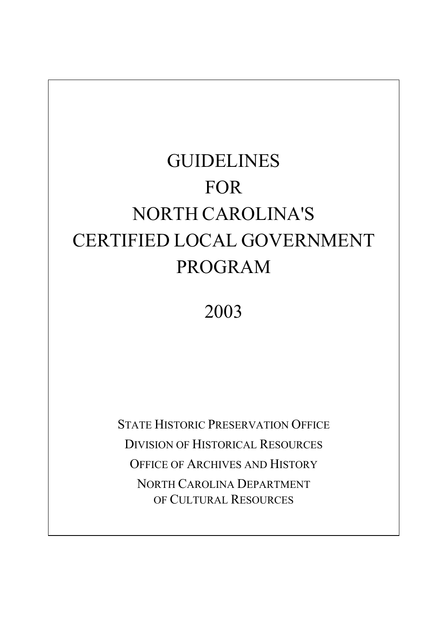# GUIDELINES FOR NORTH CAROLINA'S CERTIFIED LOCAL GOVERNMENT PROGRAM

2003

STATE HISTORIC PRESERVATION OFFICE DIVISION OF HISTORICAL RESOURCES OFFICE OF ARCHIVES AND HISTORY NORTH CAROLINA DEPARTMENT OF CULTURAL RESOURCES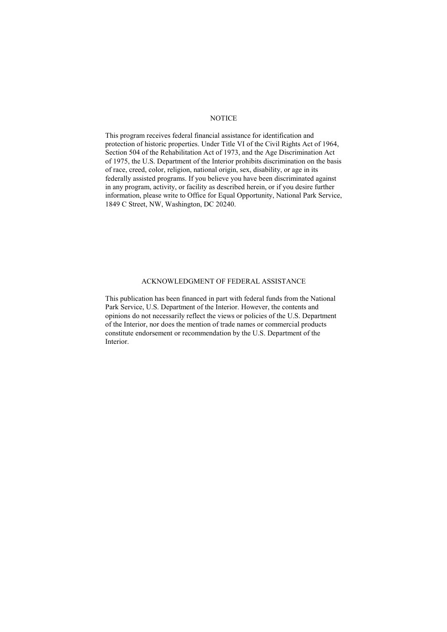#### **NOTICE**

This program receives federal financial assistance for identification and protection of historic properties. Under Title VI of the Civil Rights Act of 1964, Section 504 of the Rehabilitation Act of 1973, and the Age Discrimination Act of 1975, the U.S. Department of the Interior prohibits discrimination on the basis of race, creed, color, religion, national origin, sex, disability, or age in its federally assisted programs. If you believe you have been discriminated against in any program, activity, or facility as described herein, or if you desire further information, please write to Office for Equal Opportunity, National Park Service, 1849 C Street, NW, Washington, DC 20240.

#### ACKNOWLEDGMENT OF FEDERAL ASSISTANCE

This publication has been financed in part with federal funds from the National Park Service, U.S. Department of the Interior. However, the contents and opinions do not necessarily reflect the views or policies of the U.S. Department of the Interior, nor does the mention of trade names or commercial products constitute endorsement or recommendation by the U.S. Department of the Interior.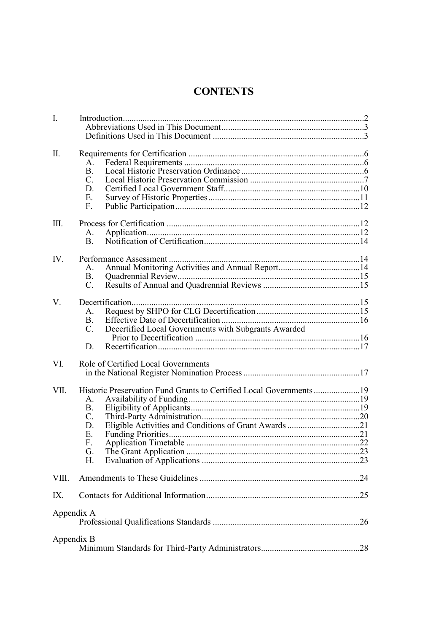## **CONTENTS**

| $\mathbf{I}$ . |                                                                     |  |
|----------------|---------------------------------------------------------------------|--|
|                |                                                                     |  |
| II.            |                                                                     |  |
|                | $A_{\cdot}$                                                         |  |
|                | <b>B.</b>                                                           |  |
|                | $C_{\cdot}$                                                         |  |
|                | D.                                                                  |  |
|                | Е.                                                                  |  |
|                | F.                                                                  |  |
| III.           |                                                                     |  |
|                | A.                                                                  |  |
|                | B <sub>1</sub>                                                      |  |
| IV.            |                                                                     |  |
|                | $\mathsf{A}$ .                                                      |  |
|                | B.                                                                  |  |
|                | $C_{\cdot}$                                                         |  |
| V.             |                                                                     |  |
|                | A.                                                                  |  |
|                | <b>B.</b>                                                           |  |
|                | Decertified Local Governments with Subgrants Awarded<br>$C_{\cdot}$ |  |
|                | D.                                                                  |  |
|                |                                                                     |  |
| VI.            | Role of Certified Local Governments                                 |  |
|                |                                                                     |  |
| VII.           | Historic Preservation Fund Grants to Certified Local Governments 19 |  |
|                | A.                                                                  |  |
|                | <b>B.</b>                                                           |  |
|                | $C_{\cdot}$                                                         |  |
|                | D.                                                                  |  |
|                | Ε.                                                                  |  |
|                | F.                                                                  |  |
|                | G.                                                                  |  |
|                | Н.                                                                  |  |
| VIII.          |                                                                     |  |
| IX.            |                                                                     |  |
|                | Appendix A                                                          |  |
|                |                                                                     |  |
|                | Appendix B                                                          |  |
|                |                                                                     |  |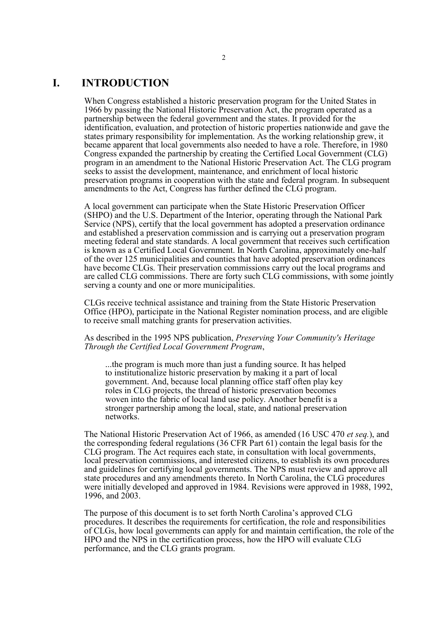## **I. INTRODUCTION**

When Congress established a historic preservation program for the United States in 1966 by passing the National Historic Preservation Act, the program operated as a partnership between the federal government and the states. It provided for the identification, evaluation, and protection of historic properties nationwide and gave the states primary responsibility for implementation. As the working relationship grew, it became apparent that local governments also needed to have a role. Therefore, in 1980 Congress expanded the partnership by creating the Certified Local Government (CLG) program in an amendment to the National Historic Preservation Act. The CLG program seeks to assist the development, maintenance, and enrichment of local historic preservation programs in cooperation with the state and federal program. In subsequent amendments to the Act, Congress has further defined the CLG program.

A local government can participate when the State Historic Preservation Officer (SHPO) and the U.S. Department of the Interior, operating through the National Park Service (NPS), certify that the local government has adopted a preservation ordinance and established a preservation commission and is carrying out a preservation program meeting federal and state standards. A local government that receives such certification is known as a Certified Local Government. In North Carolina, approximately one-half of the over 125 municipalities and counties that have adopted preservation ordinances have become CLGs. Their preservation commissions carry out the local programs and are called CLG commissions. There are forty such CLG commissions, with some jointly serving a county and one or more municipalities.

CLGs receive technical assistance and training from the State Historic Preservation Office (HPO), participate in the National Register nomination process, and are eligible to receive small matching grants for preservation activities.

As described in the 1995 NPS publication, *Preserving Your Community's Heritage Through the Certified Local Government Program*,

...the program is much more than just a funding source. It has helped to institutionalize historic preservation by making it a part of local government. And, because local planning office staff often play key roles in CLG projects, the thread of historic preservation becomes woven into the fabric of local land use policy. Another benefit is a stronger partnership among the local, state, and national preservation networks.

The National Historic Preservation Act of 1966, as amended (16 USC 470 *et seq.*), and the corresponding federal regulations (36 CFR Part 61) contain the legal basis for the CLG program. The Act requires each state, in consultation with local governments, local preservation commissions, and interested citizens, to establish its own procedures and guidelines for certifying local governments. The NPS must review and approve all state procedures and any amendments thereto. In North Carolina, the CLG procedures were initially developed and approved in 1984. Revisions were approved in 1988, 1992, 1996, and 2003.

The purpose of this document is to set forth North Carolina's approved CLG procedures. It describes the requirements for certification, the role and responsibilities of CLGs, how local governments can apply for and maintain certification, the role of the HPO and the NPS in the certification process, how the HPO will evaluate CLG performance, and the CLG grants program.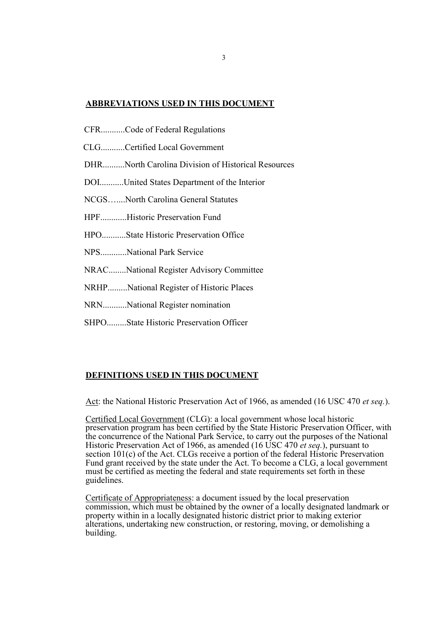#### **ABBREVIATIONS USED IN THIS DOCUMENT**

- CFR...........Code of Federal Regulations
- CLG...........Certified Local Government
- DHR..........North Carolina Division of Historical Resources
- DOI...........United States Department of the Interior
- NCGS…....North Carolina General Statutes
- HPF............Historic Preservation Fund
- HPO...........State Historic Preservation Office
- NPS............National Park Service
- NRAC........National Register Advisory Committee
- NRHP.........National Register of Historic Places
- NRN...........National Register nomination
- SHPO.........State Historic Preservation Officer

#### **DEFINITIONS USED IN THIS DOCUMENT**

Act: the National Historic Preservation Act of 1966, as amended (16 USC 470 *et seq.*).

Certified Local Government (CLG): a local government whose local historic preservation program has been certified by the State Historic Preservation Officer, with the concurrence of the National Park Service, to carry out the purposes of the National Historic Preservation Act of 1966, as amended (16 USC 470 *et seq.*), pursuant to section 101(c) of the Act. CLGs receive a portion of the federal Historic Preservation Fund grant received by the state under the Act. To become a CLG, a local government must be certified as meeting the federal and state requirements set forth in these guidelines.

Certificate of Appropriateness: a document issued by the local preservation commission, which must be obtained by the owner of a locally designated landmark or property within in a locally designated historic district prior to making exterior alterations, undertaking new construction, or restoring, moving, or demolishing a building.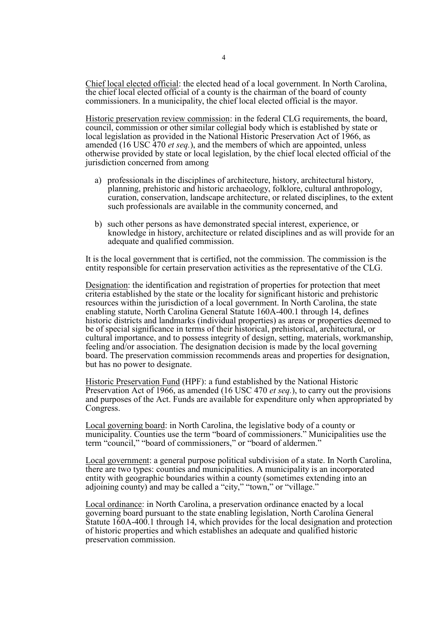Chief local elected official: the elected head of a local government. In North Carolina, the chief local elected official of a county is the chairman of the board of county commissioners. In a municipality, the chief local elected official is the mayor.

Historic preservation review commission: in the federal CLG requirements, the board, council, commission or other similar collegial body which is established by state or local legislation as provided in the National Historic Preservation Act of 1966, as amended (16 USC 470 *et seq.*), and the members of which are appointed, unless otherwise provided by state or local legislation, by the chief local elected official of the jurisdiction concerned from among

- a) professionals in the disciplines of architecture, history, architectural history, planning, prehistoric and historic archaeology, folklore, cultural anthropology, curation, conservation, landscape architecture, or relat such professionals are available in the community concerned, and
- b) such other persons as have demonstrated special interest, experience, or knowledge in history, architecture or related disciplines and as will provide for an adequate and qualified commission.

It is the local government that is certified, not the commission. The commission is the entity responsible for certain preservation activities as the representative of the CLG.

Designation: the identification and registration of properties for protection that meet criteria established by the state or the locality for significant historic and prehistoric resources within the jurisdiction of a local government. In North Carolina, the state enabling statute, North Carolina General Statute 160A-400.1 through 14, defines historic districts and landmarks (individual properties) as areas or properties deemed to be of special significance in terms of their historical, prehistorical, architectural, or cultural importance, and to possess integrity of design, setting, materials, workmanship, feeling and/or association. The designation decision is made by the local governing board. The preservation commission recommends areas and properties for designation, but has no power to designate.

Historic Preservation Fund (HPF): a fund established by the National Historic Preservation Act of 1966, as amended (16 USC 470 *et seq.*), to carry out the provisions and purposes of the Act. Funds are available for expenditure only when appropriated by Congress.

Local governing board: in North Carolina, the legislative body of a county or municipality. Counties use the term "board of commissioners." Municipalities use the term "council," "board of commissioners," or "board of aldermen."

Local government: a general purpose political subdivision of a state. In North Carolina, there are two types: counties and municipalities. A municipality is an incorporated entity with geographic boundaries within a county (sometimes extending into an adjoining county) and may be called a "city," "town," or "village."

Local ordinance: in North Carolina, a preservation ordinance enacted by a local governing board pursuant to the state enabling legislation, North Carolina General Statute 160A-400.1 through 14, which provides for the local designation and protection of historic properties and which establishes an adequate and qualified historic preservation commission.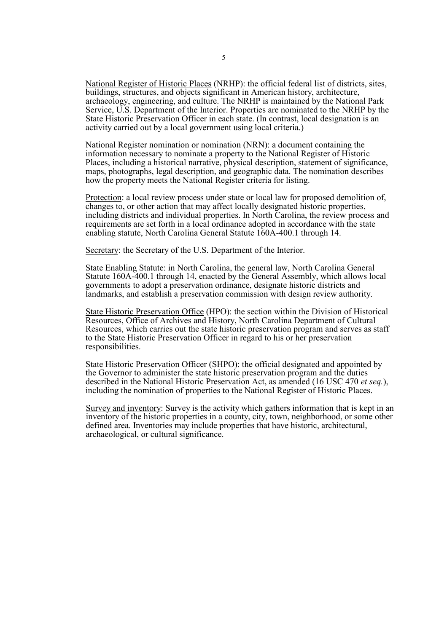National Register of Historic Places (NRHP): the official federal list of districts, sites, buildings, structures, and objects significant in American history, architecture, archaeology, engineering, and culture. The NRHP is maintained by the National Park Service, U.S. Department of the Interior. Properties are nominated to the NRHP by the State Historic Preservation Officer in each state. (In contrast, local designation is an activity carried out by a local government using local criteria.)

National Register nomination or nomination (NRN): a document containing the information necessary to nominate a property to the National Register of Historic maps, photographs, legal description, and geographic data. The nomination describes how the property meets the National Register criteria for listing.

Protection: a local review process under state or local law for proposed demolition of, changes to, or other action that may affect locally designated historic properties, including districts and individual properties. In North Carolina, the review process and requirements are set forth in a local ordinance adopted in accordance with the state enabling statute, North Carolina General Statute 160A-400.1 through 14.

Secretary: the Secretary of the U.S. Department of the Interior.

State Enabling Statute: in North Carolina, the general law, North Carolina General Statute 160A-400.1 through 14, enacted by the General Assembly, which allows local governments to adopt a preservation ordinance, designate historic districts and landmarks, and establish a preservation commission with design review authority.

State Historic Preservation Office (HPO): the section within the Division of Historical Resources, Office of Archives and History, North Carolina Department of Cultural Resources, which carries out the state historic preservation program and serves as staff to the State Historic Preservation Officer in regard to his or her preservation responsibilities.

State Historic Preservation Officer (SHPO): the official designated and appointed by the Governor to administer the state historic preservation program and the duties described in the National Historic Preservation Act, as amended (16 USC 470 *et seq.*), including the nomination of properties to the National Register of Historic Places.

Survey and inventory: Survey is the activity which gathers information that is kept in an inventory of the historic properties in a county, city, town, neighborhood, or some other defined area. Inventories may include properties that have historic, architectural, archaeological, or cultural significance.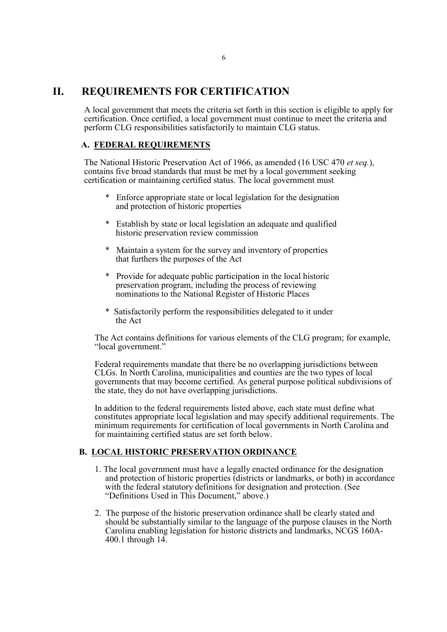## **II. REQUIREMENTS FOR CERTIFICATION**

A local government that meets the criteria set forth in this section is eligible to apply for certification. Once certified, a local government must continue to meet the criteria and perform CLG responsibilities satisfactorily to maintain CLG status.

## **A. FEDERAL REQUIREMENTS**

The National Historic Preservation Act of 1966, as amended (16 USC <sup>470</sup> *et seq.*), contains five broad standards that must be met by <sup>a</sup> local government seeking certification or maintaining certified status. The local government must

- \* Enforce appropriate state or local legislation for the designation and protection of historic properties
- \* Establish by state or local legislation an adequate and qualified historic preservation review commission
- \* Maintain a system for the survey and inventory of properties that furthers the purposes of the Act
- \* Provide for adequate public participation in the local historic preservation program, including the process of reviewing nominations to the National Register of Historic Places
- \* Satisfactorily perform the responsibilities delegated to it under the Act

The Act contains definitions for various elements of the CLG program; for example, "local government."

Federal requirements mandate that there be no overlapping jurisdictions between CLGs. In North Carolina, municipalities and counties are the two types of local governments that may become certified. As general purpose political subdivisions of the state, they do not have overlapping jurisdictions.

In addition to the federal requirements listed above, each state must define what constitutes appropriate local legislation and may specify additional requirements. The minimum requirements for certification of local governments in North Carolina and for maintaining certified status are set forth below.

#### **B. LOCAL HISTORIC PRESERVATION ORDINANCE**

- 1. The local government must have a legally enacted ordinance for the designation and protection of historic properties (districts or landmarks, or both) in accordance with the federal statutory definitions for designation and protection. (See "Definitions Used in This Document," above.)
- 2. The purpose of the historic preservation ordinance shall be clearly stated and should be substantially similar to the language of the purpose clauses in the North Carolina enabling legislation for historic districts and landmarks, NCGS 160A-400.1 through 14.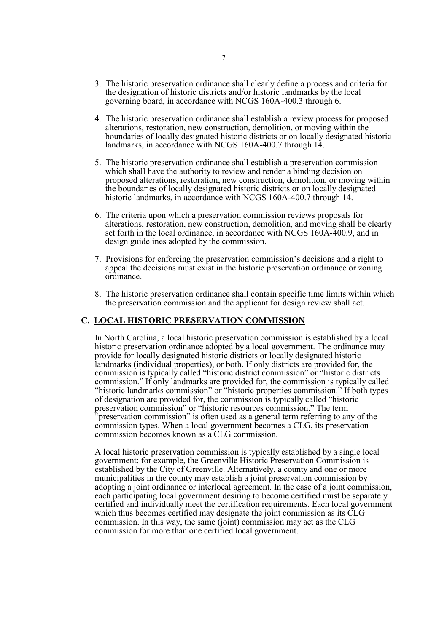- 3. The historic preservation ordinance shall clearly define a process and criteria for the designation of historic districts and/or historic landmarks by the local governing board, in accordance with NCGS 160A-400.3 through 6.
- 4. The historic preservation ordinance shall establish a review process for proposed alterations, restoration, new construction, demolition, or moving within the boundaries of locally designated historic districts or on locally designated historic landmarks, in accordance with NCGS 160A-400.7 through 14.
- 5. The historic preservation ordinance shall establish a preservation commission which shall have the authority to review and render a binding decision on proposed alterations, restoration, new construction, demolition, or moving within the boundaries of locally designated historic districts or on locally designated historic landmarks, in accordance with NCGS 160A-400.7 through 14.
- 6. The criteria upon which a preservation commission reviews proposals for alterations, restoration, new construction, demolition, and moving shall be clearly set forth in the local ordinance, in accordance with NCGS 160A-400.9, and in design guidelines adopted by the commission.
- 7. Provisions for enforcing the preservation commission's decisions and a right to appeal the decisions must exist in the historic preservation ordinance or zoning ordinance.
- 8. The historic preservation ordinance shall contain specific time limits within which the preservation commission and the applicant for design review shall act.

#### **C. LOCAL HISTORIC PRESERVATION COMMISSION**

In North Carolina, a local historic preservation commission is established by a local historic preservation ordinance adopted by a local government. The ordinance may provide for locally designated historic districts or locally designated historic landmarks (individual properties), or both. If only districts are provided for, the commission is typically called "historic district commission" or "historic districts commission." If only landmarks are provided for, the commission is typically called "historic landmarks commission" or "historic properties commission." If both types of designation are provided for, the commission is typically called "historic preservation commission" or "historic resources commission." The term "preservation commission" is often used as a general term referring to any of the commission types. When a local government becomes a CLG, its preservation commission becomes known as a CLG commission.

A local historic preservation commission is typically established by a single local government; for example, the Greenville Historic Preservation Commission is established by the City of Greenville. Alternatively, a county and one or more municipalities in the county may establish a joint preservation commission by adopting a joint ordinance or interlocal agreement. In the case of a joint commission, each participating local government desiring to become certified must be separately certified and individually meet the certification requirements. Each local government which thus becomes certified may designate the joint commission as its CLG commission. In this way, the same (joint) commission may act as the CLG commission for more than one certified local government.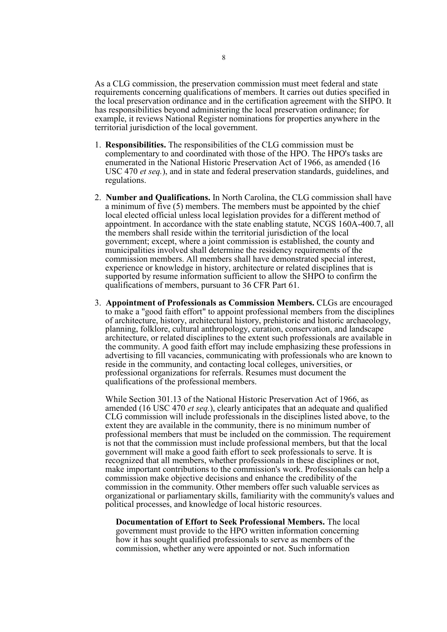As a CLG commission, the preservation commission must meet federal and state requirements concerning qualifications of members. It carries out duties specified in the local preservation ordinance and in the certification agreement with the SHPO. It has responsibilities beyond administering the local preservation ordinance; for example, it reviews National Register nominations for properties anywhere in the territorial jurisdiction of the local government.

- 1. **Responsibilities.** The responsibilities of the CLG commission must be complementary to and coordinated with those of the HPO. The HPO's tasks are enumerated in the National Historic Preservation Act of 1966, as amended (16 USC 470 *et seq.*), and in state and federal preservation standards, guidelines, and regulations.
- 2. **Number and Qualifications.** In North Carolina, the CLG commission shall have a minimum of five (5) members. The members must be appointed by the chief local elected official unless local legislation provides for a different method of appointment. In accordance with the state enabling statute, NCGS 160A-400.7, all the members shall reside within the territorial jurisdiction of the local government; except, where a joint commission is established, the county and municipalities involved shall determine the residency requirements of the commission members. All members shall have demonstrated special interest. experience or knowledge in history, architecture or related disciplines that is supported by resume information sufficient to allow the SHPO to confirm the qualifications of members, pursuant to 36 CFR Part 61.
- 3. **Appointment of Professionals as Commission Members.** CLGs are encouraged to make a "good faith effort" to appoint professional members from the disciplines of architecture, history, architectural history, prehistoric and historic archaeology, planning, folklore, cultural anthropology, curation, conservation, and landscape architecture, or related disciplines to the extent such professionals are available in the community. A good faith effort may include emphasizing these professions in advertising to fill vacancies, communicating with professionals who are known to reside in the community, and contacting local colleges, universities, or professional organizations for referrals. Resumes must document the qualifications of the professional members.

While Section 301.13 of the National Historic Preservation Act of 1966, as amended (16 USC 470 *et seq.*), clearly anticipates that an adequate and qualified CLG commission will include professionals in the disciplines listed above, to the extent they are available in the community, there is no minimum number of professional members that must be included on the commission. The requirement is not that the commission must include professional members, but that the local government will make a good faith effort to seek professionals to serve. It is recognized that all members, whether professionals in these disciplines or not, make important contributions to the commission's work. Professionals can help a commission make objective decisions and enhance the credibility of the commission in the community. Other members offer such valuable services as organizational or parliamentary skills, familiarity with the community's values and political processes, and knowledge of local historic resources.

**Documentation of Effort to Seek Professional Members.** The local government must provide to the HPO written information concerning how it has sought qualified professionals to serve as members of the commission, whether any were appointed or not. Such information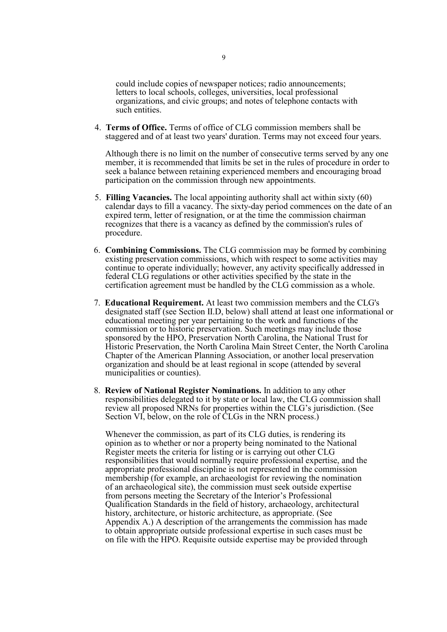could include copies of newspaper notices; radio announcements; letters to local schools, colleges, universities, local professional organizations, and civic groups; and notes of telephone contacts with such entities.

4. **Terms of Office.** Terms of office of CLG commission members shall be staggered and of at least two years' duration. Terms may not exceed four years.

Although there is no limit on the number of consecutive terms served by any one member, it is recommended that limits be set in the rules of procedure in order to seek a balance between retaining experienced members and encouraging broad participation on the commission through new appointments.

- 5. **Filling Vacancies.** The local appointing authority shall act within sixty (60) calendar days to fill a vacancy. The sixty-day period commences on the date of an expired term, letter of resignation, or at the time the commission chairman recognizes that there is a vacancy as defined by the commission's rules of procedure.
- 6. **Combining Commissions.** The CLG commission may be formed by combining existing preservation commissions, which with respect to some activities may continue to operate individually; however, any activity specifically addressed in federal CLG regulations or other activities specified by the state in the certification agreement must be handled by the CLG commission as a whole.
- 7. **Educational Requirement.** At least two commission members and the CLG's designated staff (see Section II.D, below) shall attend at least one informational or educational meeting per year pertaining to the work and functions of the commission or to historic preservation. Such meetings may include those sponsored by the HPO, Preservation North Carolina, the National Trust for Historic Preservation, the North Carolina Main Street Center, the North Carolina Chapter of the American Planning Association, or another local preservation organization and should be at least regional in scope (attended by several municipalities or counties).
- 8. **Review of National Register Nominations.** In addition to any other responsibilities delegated to it by state or local law, the CLG commission shall review all proposed NRNs for properties within the CLG's jurisdiction. (See Section VI, below, on the role of CLGs in the NRN process.)

Whenever the commission, as part of its CLG duties, is rendering its opinion as to whether or nor a property being nominated to the National Register meets the criteria for listing or is carrying out other CLG responsibilities that would normally require professional expertise, and the appropriate professional discipline is not represented in the commission membership (for example, an archaeologist for reviewing the nomination of an archaeological site), the commission must seek outside expertise from persons meeting the Secretary of the Interior's Professional Qualification Standards in the field of history, archaeology, architectural history, architecture, or historic architecture, as appropriate. (See Appendix A.) A description of the arrangements the commission has made to obtain appropriate outside professional expertise in such cases must be on file with the HPO. Requisite outside expertise may be provided through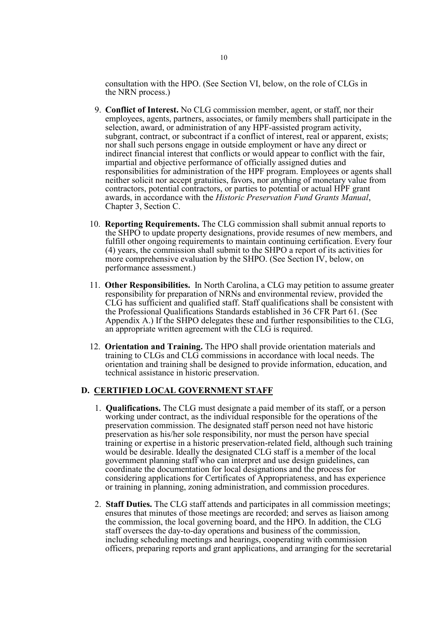consultation with the HPO. (See Section VI, below, on the role of CLGs in the NRN process.)

- 9. **Conflict of Interest.** No CLG commission member, agent, or staff, nor their employees, agents, partners, associates, or family members shall participate in the selection, award, or administration of any HPF-assisted program activity, subgrant, contract, or subcontract if a conflict of interest, real or apparent, exists; nor shall such persons engage in outside employment or have any direct or indirect financial interest that conflicts or would appear to conflict with the fair, impartial and objective performance of officially assigned duties and responsibilities for administration of the HPF program. Employees or agents shall neither solicit nor accept gratuities, favors, nor anything of monetary value from contractors, potential contractors, or parties to potential or actual HPF grant awards, in accordance with the *Historic Preservation Fund Grants Manual*, Chapter 3, Section C.
- 10. **Reporting Requirements.** The CLG commission shall submit annual reports to the SHPO to update property designations, provide resumes of new members, and fulfill other ongoing requirements to maintain continuing certification. Every four (4) years, the commission shall submit to the SHPO a report of its activities for more comprehensive evaluation by the SHPO. (See Section IV, below, on performance assessment.)
- 11. **Other Responsibilities.** In North Carolina, a CLG may petition to assume greater responsibility for preparation of NRNs and environmental review, provided the CLG has sufficient and qualified staff. Staff qualifications shall be consistent with the Professional Qualifications Standards established in 36 CFR Part 61. (See Appendix A.) If the SHPO delegates these and further responsibilities to the CLG, an appropriate written agreement with the CLG is required.
- 12. **Orientation and Training.** The HPO shall provide orientation materials and training to CLGs and CLG commissions in accordance with local needs. The orientation and training shall be designed to provide information, education, and technical assistance in historic preservation.

#### **D. CERTIFIED LOCAL GOVERNMENT STAFF**

- 1. **Qualifications.** The CLG must designate a paid member of its staff, or a person working under contract, as the individual responsible for the operations of the preservation commission. The designated staff person need not have historic preservation as his/her sole responsibility, nor must the person have special training or expertise in a historic preservation-related field, although such training would be desirable. Ideally the designated CLG staff is a member of the local government planning staff who can interpret and use design guidelines, can coordinate the documentation for local designations and the process for considering applications for Certificates of Appropriateness, and has experience or training in planning, zoning administration, and commission procedures.
- 2. **Staff Duties.** The CLG staff attends and participates in all commission meetings; ensures that minutes of those meetings are recorded; and serves as liaison among the commission, the local governing board, and the HPO. In addition, the CLG staff oversees the day-to-day operations and business of the commission, including scheduling meetings and hearings, cooperating with commission officers, preparing reports and grant applications, and arranging for the secretarial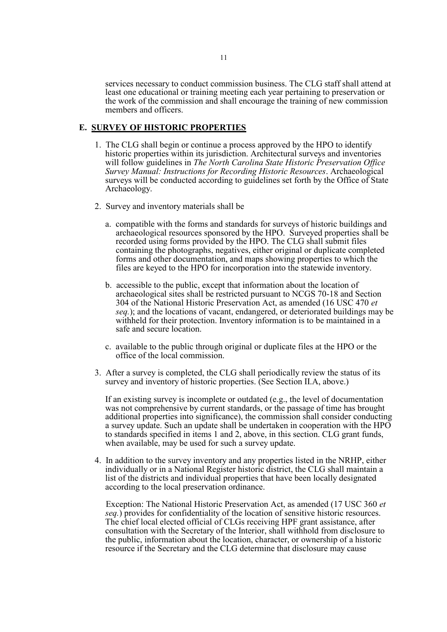services necessary to conduct commission business. The CLG staff shall attend at least one educational or training meeting each year pertaining to preservation or the work of the commission and shall encourage the training of new commission members and officers.

#### **E. SURVEY OF HISTORIC PROPERTIES**

- 1. The CLG shall begin or continue a process approved by the HPO to identify historic properties within its jurisdiction. Architectural surveys and inventories will follow guidelines in *The North Carolina State Historic Preservation Office Survey Manual: Instructions for Recording Historic Resources*. Archaeological surveys will be conducted according to guidelines set forth by the Office of State Archaeology.
- 2. Survey and inventory materials shall be
	- a. compatible with the forms and standards for surveys of historic buildings and archaeological resources sponsored by the HPO. Surveyed properties shall be recorded using forms provided by the HPO. The CLG shall submit files containing the photographs, negatives, either original or duplicate completed forms and other documentation, and maps showing properties to which the files are keyed to the HPO for incorporation into the statewide inventory.
	- b. accessible to the public, except that information about the location of archaeological sites shall be restricted pursuant to NCGS 70-18 and Section 304 of the National Historic Preservation Act, as amended (16 USC 470 *et seq.*); and the locations of vacant, endangered, or deteriorated buildings may be withheld for their protection. Inventory information is to be maintained in a safe and secure location.
	- c. available to the public through original or duplicate files at the HPO or the office of the local commission.
- 3. After a survey is completed, the CLG shall periodically review the status of its survey and inventory of historic properties. (See Section II.A, above.)

If an existing survey is incomplete or outdated (e.g., the level of documentation was not comprehensive by current standards, or the passage of time has brought additional properties into significance), the commission shall consider conducting a survey update. Such an update shall be undertaken in cooperation with the HPO to standards specified in items 1 and 2, above, in this section. CLG grant funds, when available, may be used for such a survey update.

4. In addition to the survey inventory and any properties listed in the NRHP, either individually or in a National Register historic district, the CLG shall maintain a list of the districts and individual properties that have been locally designated according to the local preservation ordinance.

Exception: The National Historic Preservation Act, as amended (17 USC 360 *et seq.*) provides for confidentiality of the location of sensitive historic resources. The chief local elected official of CLGs receiving HPF grant assistance, after consultation with the Secretary of the Interior, shall withhold from disclosure to the public, information about the location, character, or ownership of a historic resource if the Secretary and the CLG determine that disclosure may cause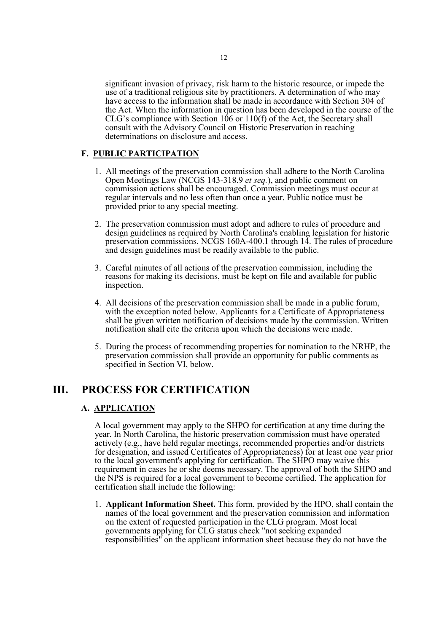significant invasion of privacy, risk harm to the historic resource, or impede the use of a traditional religious site by practitioners. A determination of who may have access to the information shall be made in accordance with Section 304 of the Act. When the information in question has been developed in the course of the CLG's compliance with Section  $106$  or  $110(f)$  of the Act, the Secretary shall consult with the Advisory Council on Historic Preservation in reaching determinations on disclosure and access.

#### **F. PUBLIC PARTICIPATION**

- 1. All meetings of the preservation commission shall adhere to the North Carolina Open Meetings Law (NCGS 143-318.9 *et seq.*), and public comment on commission actions shall be encouraged. Commission meetings must occur at regular intervals and no less often than once a year. Public notice must be provided prior to any special meeting.
- 2. The preservation commission must adopt and adhere to rules of procedure and design guidelines as required by North Carolina's enabling legislation for historic preservation commissions, NCGS 160A-400.1 through 14. The rules of procedure and design guidelines must be readily available to the public.
- 3. Careful minutes of all actions of the preservation commission, including the reasons for making its decisions, must be kept on file and available for public inspection.
- 4. All decisions of the preservation commission shall be made in a public forum, with the exception noted below. Applicants for a Certificate of Appropriateness shall be given written notification of decisions made by the commission. Written notification shall cite the criteria upon which the decisions were made.
- 5. During the process of recommending properties for nomination to the NRHP, the preservation commission shall provide an opportunity for public comments as specified in Section VI, below.

## **III. PROCESS FOR CERTIFICATION**

#### **A. APPLICATION**

A local government may apply to the SHPO for certification at any time during the year. In North Carolina, the historic preservation commission must have operated actively (e.g., have held regular meetings, recommended properties and/or districts for designation, and issued Certificates of Appropriateness) for at least one year prior to the local government's applying for certification. The SHPO may waive this requirement in cases he or she deems necessary. The approval of both the SHPO and the NPS is required for a local government to become certified. The application for certification shall include the following:

1. **Applicant Information Sheet.** This form, provided by the HPO, shall contain the names of the local government and the preservation commission and information on the extent of requested participation in the CLG program. Most local governments applying for CLG status check "not seeking expanded" responsibilities" on the applicant information sheet because they do not have the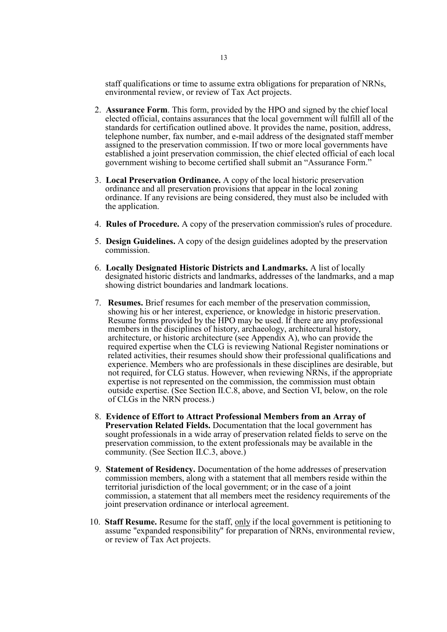staff qualifications or time to assume extra obligations for preparation of NRNs, environmental review, or review of Tax Act projects.

- 2. **Assurance Form**. This form, provided by the HPO and signed by the chief local elected official, contains assurances that the local government will fulfill all of the standards for certification outlined above. It provides the name, position, address, telephone number, fax number, and e-mail address of the designated staff member assigned to the preservation commission. If two or more local governments have established a joint preservation commission, the chief elected official of each local government wishing to become certified shall submit an "Assurance Form."
- 3. **Local Preservation Ordinance.** A copy of the local historic preservation ordinance and all preservation provisions that appear in the local zoning ordinance. If any revisions are being considered, they must also be included with the application.
- 4. **Rules of Procedure.** A copy of the preservation commission's rules of procedure.
- 5. **Design Guidelines.** A copy of the design guidelines adopted by the preservation commission.
- 6. **Locally Designated Historic Districts and Landmarks.** A list of locally designated historic districts and landmarks, addresses of the landmarks, and a map showing district boundaries and landmark locations.
- 7. **Resumes.** Brief resumes for each member of the preservation commission, showing his or her interest, experience, or knowledge in historic preservation. Resume forms provided by the HPO may be used. If there are any professional members in the disciplines of history, archaeology, architectural history, architecture, or historic architecture (see Appendix A), who can provide the required expertise when the CLG is reviewing National Register nominations or related activities, their resumes should show their professional qualifications and experience. Members who are professionals in these disciplines are desirable, but not required, for CLG status. However, when reviewing NRNs, if the appropriate expertise is not represented on the commission, the commission must obtain outside expertise. (See Section II.C.8, above, and Section VI, below, on the role of CLGs in the NRN process.)
- 8. **Evidence of Effort to Attract Professional Members from an Array of Preservation Related Fields.** Documentation that the local government has sought professionals in a wide array of preservation related fields to serve on the preservation commission, to the extent professionals may be available in the community. (See Section II.C.3, above.)
- 9. **Statement of Residency.** Documentation of the home addresses of preservation commission members, along with a statement that all members reside within the territorial jurisdiction of the local government; or in the case of a joint commission, a statement that all members meet the residency requirements of the joint preservation ordinance or interlocal agreement.
- 10. **Staff Resume.** Resume for the staff, only if the local government is petitioning to assume "expanded responsibility" for preparation of NRNs, environmental review, or review of Tax Act projects.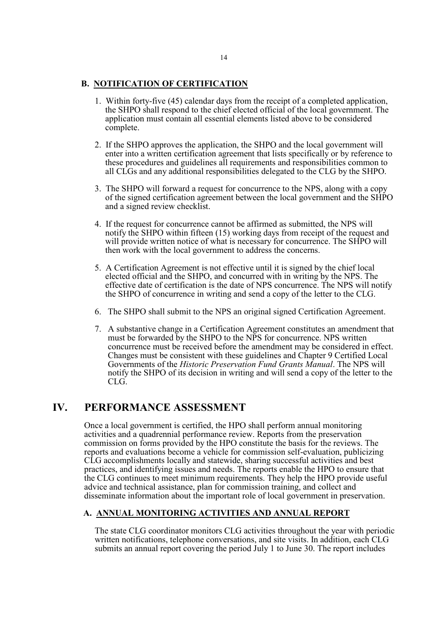#### **B. NOTIFICATION OF CERTIFICATION**

- 1. Within forty-five (45) calendar days from the receipt of <sup>a</sup> completed application, the SHPO shall respond to the chief elected official of the local government. The application must contain all essential elements listed above to be considered complete.
- 2. If the SHPO approves the application, the SHPO and the local government will enter into a written certification agreement that lists specifically or by reference to these procedures and guidelines all requirements and responsibilities common to all CLGs and any additional responsibilities delegated to the CLG by the SHPO.
- 3. The SHPO will forward a request for concurrence to the NPS, along with a copy of the signed certification agreement between the local government and the SHPO and a signed review checklist.
- 4. If the request for concurrence cannot be affirmed as submitted, the NPS will notify the SHPO within fifteen (15) working days from receipt of the request and will provide written notice of what is necessary for concurrence. The SHPO will then work with the local government to address the concerns.
- 5. A Certification Agreement is not effective until it is signed by the chief local elected official and the SHPO, and concurred with in writing by the NPS. The effective date of certification is the date of NPS concurrence. The NPS will notify the SHPO of concurrence in writing and send a copy of the letter to the CLG.
- 6. The SHPO shall submit to the NPS an original signed Certification Agreement.
- 7. A substantive change in a Certification Agreement constitutes an amendment that must be forwarded by the SHPO to the NPS for concurrence. NPS written concurrence must be received before the amendment may be considered in effect. Changes must be consistent with these guidelines and Chapter 9 Certified Local Governments of the *Historic Preservation Fund Grants Manual*. The NPS will notify the SHPO of its decision in writing and will send a copy of the letter to the CLG.

## **IV. PERFORMANCE ASSESSMENT**

Once a local government is certified, the HPO shall perform annual monitoring activities and a quadrennial performance review. Reports from the preservation commission on forms provided by the HPO constitute the basis for the reviews. The reports and evaluations become a vehicle for commission self-evaluation, publicizing CLG accomplishments locally and statewide, sharing successful activities and best practices, and identifying issues and needs. The reports enable the HPO to ensure that the CLG continues to meet minimum requirements. They help the HPO provide useful advice and technical assistance, plan for commission training, and collect and disseminate information about the important role of local government in preservation.

## **A. ANNUAL MONITORING ACTIVITIES AND ANNUAL REPORT**

The state CLG coordinator monitors CLG activities throughout the year with periodic written notifications, telephone conversations, and site visits. In addition, each CLG submits an annual report covering the period July 1 to June 30. The report includes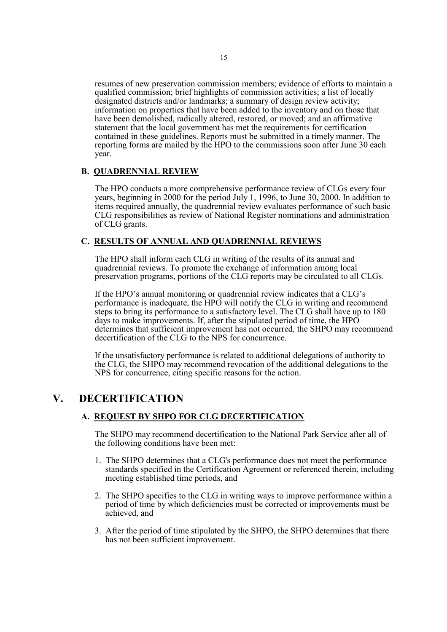resumes of new preservation commission members; evidence of efforts to maintain a qualified commission; brief highlights of commission activities; a list of locally designated districts and/or landmarks; a summary of design review activity; information on properties that have been added to the inventory and on those that have been demolished, radically altered, restored, or moved; and an affirmative statement that the local government has met the requirements for certification contained in these guidelines. Reports must be submitted in a timely manner. The reporting forms are mailed by the HPO to the commissions soon after June 30 each year.

#### **B. QUADRENNIAL REVIEW**

The HPO conducts a more comprehensive performance review of CLGs every four years, beginning in 2000 for the period July 1, 1996, to June 30, 2000. In addition to items required annually, the quadrennial review evaluates performance of such basic CLG responsibilities as review of National Register nominations and administration of CLG grants.

#### **C. RESULTS OF ANNUAL AND QUADRENNIAL REVIEWS**

The HPO shall inform each CLG in writing of the results of its annual and quadrennial reviews. To promote the exchange of information among local preservation programs, portions of the CLG reports may be circulated to all CLGs.

If the HPO's annual monitoring or quadrennial review indicates that a CLG's performance is inadequate, the HPO will notify the CLG in writing and recommend steps to bring its performance to a satisfactory level. The CLG shall have up to 180 days to make improvements. If, after the stipulated period of time, the HPO determines that sufficient improvement has not occurred, the SHPO may recommend decertification of the CLG to the NPS for concurrence.

If the unsatisfactory performance is related to additional delegations of authority to the CLG, the SHPO may recommend revocation of the additional delegations to the NPS for concurrence, citing specific reasons for the action.

## **V. DECERTIFICATION**

#### **A. REQUEST BY SHPO FOR CLG DECERTIFICATION**

The SHPO may recommend decertification to the National Park Service after all of the following conditions have been met:

- 1. The SHPO determines that a CLG's performance does not meet the performance standards specified in the Certification Agreement or referenced therein, including meeting established time periods, and
- 2. The SHPO specifies to the CLG in writing ways to improve performance within a period of time by which deficiencies must be corrected or improvements must be achieved, and
- 3. After the period of time stipulated by the SHPO, the SHPO determines that there has not been sufficient improvement.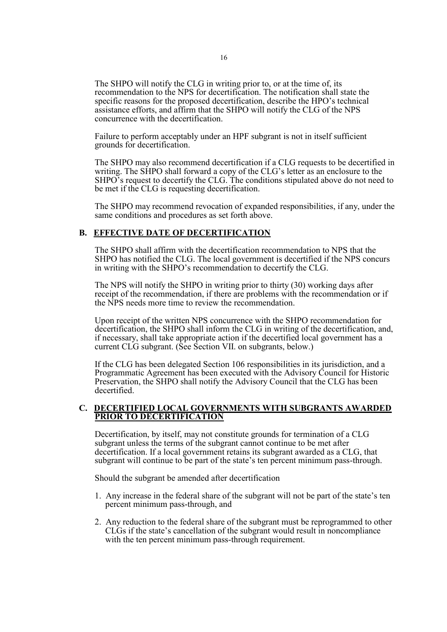The SHPO will notify the CLG in writing prior to, or at the time of, its recommendation to the NPS for decertification. The notification shall state the specific reasons for the proposed decertification, describe the HPO's technical assistance efforts, and affirm that the SHPO will notify the CLG of the NPS concurrence with the decertification.

Failure to perform acceptably under an HPF subgrant is not in itself sufficient grounds for decertification.

The SHPO may also recommend decertification if a CLG requests to be decertified in writing. The SHPO shall forward a copy of the CLG's letter as an enclosure to the SHPO's request to decertify the CLG. The conditions stipulated above do not need to be met if the CLG is requesting decertification.

The SHPO may recommend revocation of expanded responsibilities, if any, under the same conditions and procedures as set forth above.

#### **B. EFFECTIVE DATE OF DECERTIFICATION**

The SHPO shall affirm with the decertification recommendation to NPS that the SHPO has notified the CLG. The local government is decertified if the NPS concurs in writing with the SHPO's recommendation to decertify the CLG.

The NPS will notify the SHPO in writing prior to thirty (30) working days after receipt of the recommendation, if there are problems with the recommendation or if the NPS needs more time to review the recommendation.

Upon receipt of the written NPS concurrence with the SHPO recommendation for decertification, the SHPO shall inform the CLG in writing of the decertification, and, if necessary, shall take appropriate action if the decertified local government has a current CLG subgrant. (See Section VII. on subgrants, below.)

If the CLG has been delegated Section 106 responsibilities in its jurisdiction, and a Programmatic Agreement has been executed with the Advisory Council for Historic Preservation, the SHPO shall notify the Advisory Council that the CLG has been decertified.

#### **C. DECERTIFIED LOCAL GOVERNMENTS WITH SUBGRANTS AWARDED PRIOR TO DECERTIFICATION**

Decertification, by itself, may not constitute grounds for termination of a CLG subgrant unless the terms of the subgrant cannot continue to be met after decertification. If a local government retains its subgrant awarded as a CLG, that subgrant will continue to be part of the state's ten percent minimum pass-through.

Should the subgrant be amended after decertification

- 1. Any increase in the federal share of the subgrant will not be part of the state's ten percent minimum pass-through, and
- 2. Any reduction to the federal share of the subgrant must be reprogrammed to other CLGs if the state's cancellation of the subgrant would result in noncompliance with the ten percent minimum pass-through requirement.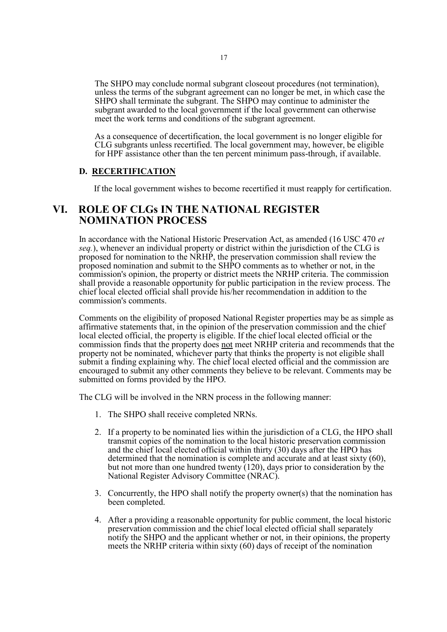The SHPO may conclude normal subgrant closeout procedures (not termination), unless the terms of the subgrant agreement can no longer be met, in which case the SHPO shall terminate the subgrant. The SHPO may continue to administer the subgrant awarded to the local government if the local government can otherwise meet the work terms and conditions of the subgrant agreement.

As a consequence of decertification, the local government is no longer eligible for CLG subgrants unless recertified. The local government may, however, be eligible for HPF assistance other than the ten percent minimum pass-through, if available.

#### **D. RECERTIFICATION**

If the local government wishes to become recertified it must reapply for certification.

## **VI. ROLE OF CLGs IN THE NATIONAL REGISTER NOMINATION PROCESS**

In accordance with the National Historic Preservation Act, as amended (16 USC 470 *et seq.*), whenever an individual property or district within the jurisdiction of the CLG is proposed for nomination to the NRHP, the preservation commission shall review the proposed nomination and submit to the SHPO comments as to whether or not, in the commission's opinion, the property or district meets the NRHP criteria. The commission shall provide a reasonable opportunity for public participation in the review process. The chief local elected official shall provide his/her recommendation in addition to the commission's comments.

Comments on the eligibility of proposed National Register properties may be as simple as affirmative statements that, in the opinion of the preservation commission and the chief local elected official, the property is eligible. If the chief local elected official or the commission finds that the property does not meet NRHP criteria and recommends that the property not be nominated, whichever party that thinks the property is not eligible shall submit a finding explaining why. The chief local elected official and the commission are encouraged to submit any other comments they believe to be relevant. Comments may be submitted on forms provided by the HPO.

The CLG will be involved in the NRN process in the following manner:

- 1. The SHPO shall receive completed NRNs.
- 2. If a property to be nominated lies within the jurisdiction of a CLG, the HPO shall transmit copies of the nomination to the local historic preservation commission and the chief local elected official within thirty  $(30)$  days after the HPO has determined that the nomination is complete and accurate and at least sixty  $(60)$ , but not more than one hundred twenty (120), days prior to consideration by the National Register Advisory Committee (NRAC).
- 3. Concurrently, the HPO shall notify the property owner(s) that the nomination has been completed.
- 4. After a providing a reasonable opportunity for public comment, the local historic preservation commission and the chief local elected official shall separately notify the SHPO and the applicant whether or not, in their opinions, the property meets the NRHP criteria within sixty (60) days of receipt of the nomination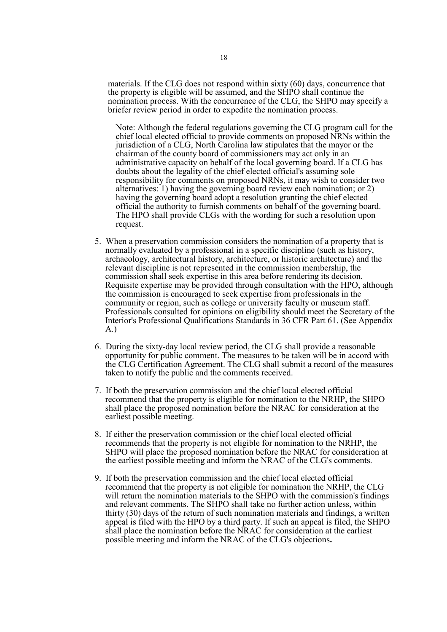materials. If the CLG does not respond within sixty (60) days, concurrence that the property is eligible will be assumed, and the SHPO shall continue the nomination process. With the concurrence of the CLG, the SHPO may specify a briefer review period in order to expedite the nomination process.

Note: Although the federal regulations governing the CLG program call for the chief local elected official to provide comments on proposed NRNs within the jurisdiction of a CLG, North Carolina law stipulates that the mayor or the chairman of the county board of commissioners may act only in an administrative capacity on behalf of the local governing board. If a CLG has doubts about the legality of the chief elected official's assuming sole responsibility for comments on proposed NRNs, it may wish to consider two alternatives: 1) having the governing board review each nomination; or 2) having the governing board adopt a resolution granting the chief elected official the authority to furnish comments on behalf of the governing board. The HPO shall provide CLGs with the wording for such <sup>a</sup> resolution upon request.

- 5. When a preservation commission considers the nomination of a property that is normally evaluated by a professional in a specific discipline (such as history, archaeology, architectural history, architecture, or historic architecture) and the relevant discipline is not represented in the commission membership, the commission shall seek expertise in this area before rendering its decision. Requisite expertise may be provided through consultation with the HPO, although the commission is encouraged to seek expertise from professionals in the community or region, such as college or university faculty or museum staff. Professionals consulted for opinions on eligibility should meet the Secretary of the Interior's Professional Qualifications Standards in 36 CFR Part 61. (See Appendix A.)
- 6. During the sixty-day local review period, the CLG shall provide a reasonable opportunity for public comment. The measures to be taken will be in accord with the CLG Certification Agreement. The CLG shall submit a record of the measures taken to notify the public and the comments received.
- 7. If both the preservation commission and the chief local elected official recommend that the property is eligible for nomination to the NRHP, the SHPO shall place the proposed nomination before the NRAC for consideration at the earliest possible meeting.
- 8. If either the preservation commission or the chief local elected official recommends that the property is not eligible for nomination to the NRHP, the SHPO will place the proposed nomination before the NRAC for consideration at the earliest possible meeting and inform the NRAC of the CLG's comments.
- 9. If both the preservation commission and the chief local elected official recommend that the property is not eligible for nomination the NRHP, the CLG will return the nomination materials to the SHPO with the commission's findings and relevant comments. The SHPO shall take no further action unless, within thirty (30) days of the return of such nomination materials and findings, a written appeal is filed with the HPO by a third party. If such an appeal is filed, the SHPO shall place the nomination before the NRAC for consideration at the earliest possible meeting and inform the NRAC of the CLG's objections**.**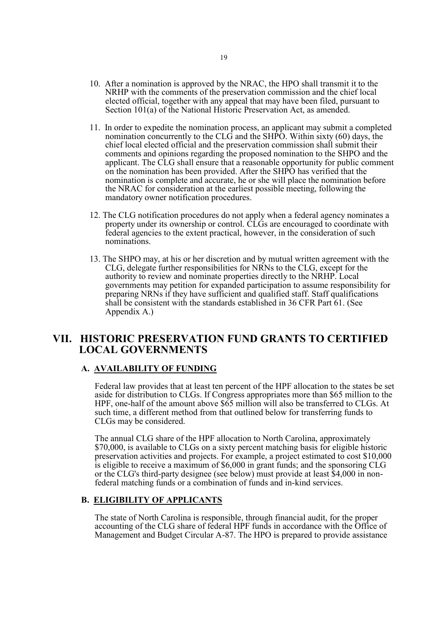- 10. After a nomination is approved by the NRAC, the HPO shall transmit it to the NRHP with the comments of the preservation commission and the chief local elected official, together with any appeal that may have been filed, pursuant to Section 101(a) of the National Historic Preservation Act, as amended.
- 11. In order to expedite the nomination process, an applicant may submit a completed nomination concurrently to the CLG and the SHPO. Within sixty  $(60)$  days, the chief local elected official and the preservation commission shall submit their comments and opinions regarding the proposed nomination to the SHPO and the applicant. The CLG shall ensure that a reasonable opportunity for public comment on the nomination has been provided. After the SHPO has verified that the nomination is complete and accurate, he or she will place the nomination before the NRAC for consideration at the earliest possible meeting, following the mandatory owner notification procedures.
- 12. The CLG notification procedures do not apply when a federal agency nominates a property under its ownership or control. CLGs are encouraged to coordinate with federal agencies to the extent practical, however, in the consideration of such nominations.
- 13. The SHPO may, at his or her discretion and by mutual written agreement with the CLG, delegate further responsibilities for NRNs to the CLG, except for the authority to review and nominate properties directly to the NRHP. Local governments may petition for expanded participation to assume responsibility for preparing NRNs if they have sufficient and qualified staff. Staff qualifications shall be consistent with the standards established in 36 CFR Part 61. (See Appendix A.)

## **VII. HISTORIC PRESERVATION FUND GRANTS TO CERTIFIED LOCAL GOVERNMENTS**

#### **A. AVAILABILITY OF FUNDING**

Federal law provides that at least ten percent of the HPF allocation to the states be set aside for distribution to CLGs. If Congress appropriates more than \$65 million to the HPF, one-half of the amount above \$65 million will also be transferred to CLGs. At such time, a different method from that outlined below for transferring funds to CLGs may be considered.

The annual CLG share of the HPF allocation to North Carolina, approximately \$70,000, is available to CLGs on a sixty percent matching basis for eligible historic preservation activities and projects. For example, a project estimated to cost \$10,000 is eligible to receive a maximum of \$6,000 in grant funds; and the sponsoring  $\angle C\angle G$ or the CLG's third-party designee (see below) must provide at least \$4,000 in nonfederal matching funds or a combination of funds and in-kind services.

#### **B. ELIGIBILITY OF APPLICANTS**

The state of North Carolina is responsible, through financial audit, for the proper accounting of the CLG share of federal HPF funds in accordance with the Office of Management and Budget Circular A-87. The HPO is prepared to provide assistance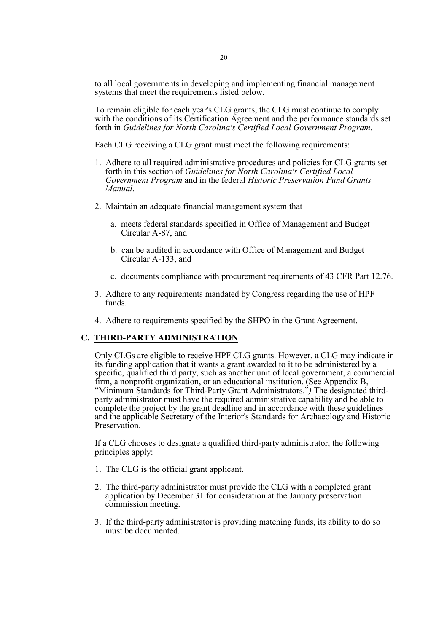to all local governments in developing and implementing financial management systems that meet the requirements listed below.

To remain eligible for each year's CLG grants, the CLG must continue to comply with the conditions of its Certification Agreement and the performance standards set forth in *Guidelines for North Carolina's Certified Local Government Program*.

Each CLG receiving a CLG grant must meet the following requirements:

- 1. Adhere to all required administrative procedures and policies for CLG grants set forth in this section of *Guidelines for North Carolina's Certified Local Government Program* and in the federal *Historic Preservation Fund Grants Manual*.
- 2. Maintain an adequate financial management system that
	- a. meets federal standards specified in Office of Management and Budget Circular A-87, and
	- b. can be audited in accordance with Office of Management and Budget Circular A-133, and
	- c. documents compliance with procurement requirements of 43 CFR Part 12.76.
- 3. Adhere to any requirements mandated by Congress regarding the use of HPF funds.
- 4. Adhere to requirements specified by the SHPO in the Grant Agreement.

#### **C. THIRD-PARTY ADMINISTRATION**

Only CLGs are eligible to receive HPF CLG grants. However, a CLG may indicate in its funding application that it wants a grant awarded to it to be administered by a specific, qualified third party, such as another unit of local government, a commercial firm, a nonprofit organization, or an educational institution. (See Appendix B, "Minimum Standards for Third-Party Grant Administrators.") The designated thirdparty administrator must have the required administrative capability and be able to complete the project by the grant deadline and in accordance with these guidelines and the applicable Secretary of the Interior's Standards for Archaeology and Historic Preservation.

If a CLG chooses to designate a qualified third-party administrator, the following principles apply:

- 1. The CLG is the official grant applicant.
- 2. The third-party administrator must provide the CLG with a completed grant application by December 31 for consideration at the January preservation commission meeting.
- 3. If the third-party administrator is providing matching funds, its ability to do so must be documented.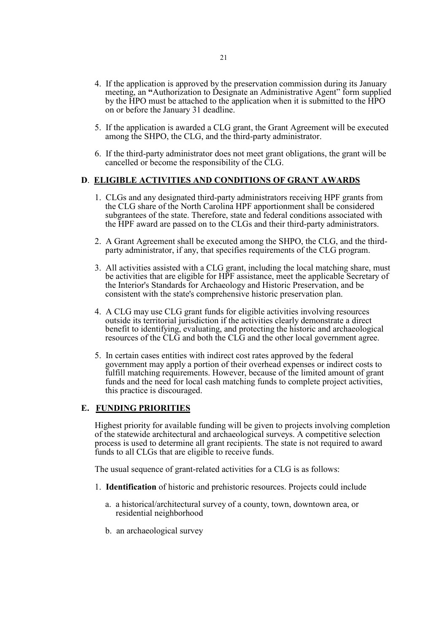- 4. If the application is approved by the preservation commission during its January meeting, an **"**Authorization to Designate an Administrative Agent" form supplied by the HPO must be attached to the application when it is submitted to the HPO on or before the January 31 deadline.
- 5. If the application is awarded a CLG grant, the Grant Agreement will be executed among the SHPO, the CLG, and the third-party administrator.
- 6. If the third-party administrator does not meet grant obligations, the grant will be cancelled or become the responsibility of the CLG.

## **D**. **ELIGIBLE ACTIVITIES AND CONDITIONS OF GRANT AWARDS**

- 1. CLGs and any designated third-party administrators receiving HPF grants from the CLG share of the North Carolina HPF apportionment shall be considered subgrantees of the state. Therefore, state and federal conditions associated with the HPF award are passed on to the CLGs and their third-party administrators.
- 2. <sup>A</sup> Grant Agreement shall be executed among the SHPO, the CLG, and the third- party administrator, if any, that specifies requirements of the CLG program.
- 3. All activities assisted with a CLG grant, including the local matching share, must be activities that are eligible for HPF assistance, meet the applicable Secretary of the Interior's Standards for Archaeology and Historic Preservation, and be consistent with the state's comprehensive historic preservation plan.
- 4. A CLG may use CLG grant funds for eligible activities involving resources outside its territorial jurisdiction if the activities clearly demonstrate a direct benefit to identifying, evaluating, and protecting the historic and archaeological resources of the CLG and both the CLG and the other local government agree.
- 5. In certain cases entities with indirect cost rates approved by the federal government may apply a portion of their overhead expenses or indirect costs to fulfill matching requirements. However, because of the limited amount of grant funds and the need for local cash matching funds to complete project activities, this practice is discouraged.

#### **E. FUNDING PRIORITIES**

Highest priority for available funding will be given to projects involving completion of the statewide architectural and archaeological surveys. A competitive selection process is used to determine all grant recipients. The state is not required to award funds to all CLGs that are eligible to receive funds.

The usual sequence of grant-related activities for a CLG is as follows:

- 1. **Identification** of historic and prehistoric resources. Projects could include
	- a. a historical/architectural survey of a county, town, downtown area, or residential neighborhood
	- b. an archaeological survey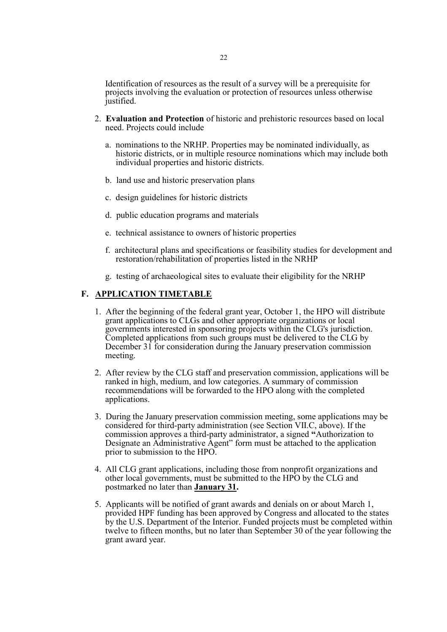Identification of resources as the result of a survey will be a prerequisite for projects involving the evaluation or protection of resources unless otherwise justified.

- 2. **Evaluation and Protection** of historic and prehistoric resources based on local need. Projects could include
	- a. nominations to the NRHP. Properties may be nominated individually, as historic districts, or in multiple resource nominations which may include both individual properties and historic districts.
	- b. land use and historic preservation plans
	- c. design guidelines for historic districts
	- d. public education programs and materials
	- e. technical assistance to owners of historic properties
	- f. architectural plans and specifications or feasibility studies for development and restoration/rehabilitation of properties listed in the NRHP
	- g. testing of archaeological sites to evaluate their eligibility for the NRHP

#### **F. APPLICATION TIMETABLE**

- 1. After the beginning of the federal grant year, October 1, the HPO will distribute grant applications to CLGs and other appropriate organizations or local governments interested in sponsoring projects within the CLG's jurisdiction. Completed applications from such groups must be delivered to the CLG by December 31 for consideration during the January preservation commission meeting.
- 2. After review by the CLG staff and preservation commission, applications will be ranked in high, medium, and low categories. A summary of commission recommendations will be forwarded to the HPO along with the completed applications.
- 3. During the January preservation commission meeting, some applications may be considered for third-party administration (see Section VII.C, above). If the commission approves a third-party administrator, a signed **"**Authorization to Designate an Administrative Agent" form must be attached to the application prior to submission to the HPO.
- 4. All CLG grant applications, including those from nonprofit organizations and other local governments, must be submitted to the HPO by the CLG and postmarked no later than **January 31.**
- 5. Applicants will be notified of grant awards and denials on or about March 1, provided HPF funding has been approved by Congress and allocated to the states by the U.S. Department of the Interior. Funded projects must be completed within twelve to fifteen months, but no later than September 30 of the year following the grant award year.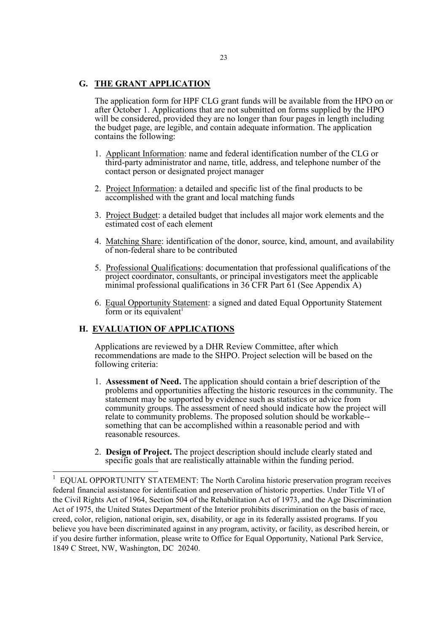#### **G. THE GRANT APPLICATION**

The application form for HPF CLG grant funds will be available from the HPO on or after October 1. Applications that are not submitted on forms supplied by the HPO will be considered, provided they are no longer than four pages in length including the budget page, are legible, and contain adequate information. The application contains the following:

- 1. Applicant Information: name and federal identification number of the CLG or third-party administrator and name, title, address, and telephone number of the contact person or designated project manager
- 2. Project Information: a detailed and specific list of the final products to be accomplished with the grant and local matching funds
- 3. Project Budget: a detailed budget that includes all major work elements and the estimated cost of each element
- 4. Matching Share: identification of the donor, source, kind, amount, and availability of non-federal share to be contributed
- 5. Professional Qualifications: documentation that professional qualifications of the project coordinator, consultants, or principal investigators meet the applicable minimal professional qualifications in  $36$  CFR Part  $61$  (See Appendix A)
- 6. Equal Opportunity Statement: a signed and dated Equal Opportunity Statement form or its equivalent<sup>1</sup>

#### **H. EVALUATION OF APPLICATIONS**

Applications are reviewed by a DHR Review Committee, after which recommendations are made to the SHPO. Project selection will be based on the following criteria:

- 1. **Assessment of Need.** The application should contain a brief description of the problems and opportunities affecting the historic resources in the community. The statement may be supported by evidence such as statistics or advice from community groups. The assessment of need should indicate how the project will relate to community problems. The proposed solution should be workable-something that can be accomplished within a reasonable period and with reasonable resources.
- 2. **Design of Project.** The project description should include clearly stated and specific goals that are realistically attainable within the funding period.

<sup>1</sup> EQUAL OPPORTUNITY STATEMENT: The North Carolina historic preservation program receives federal financial assistance for identification and preservation of historic properties. Under Title VI of the Civil Rights Act of 1964, Section 504 of the Rehabilitation Act of 1973, and the Age Discrimination Act of 1975, the United States Department of the Interior prohibits discrimination on the basis of race, creed, color, religion, national origin, sex, disability, or age in its federally assisted programs. If you believe you have been discriminated against in any program, activity, or facility, as described herein, or if you desire further information, please write to Office for Equal Opportunity, National Park Service, 1849 C Street, NW, Washington, DC 20240.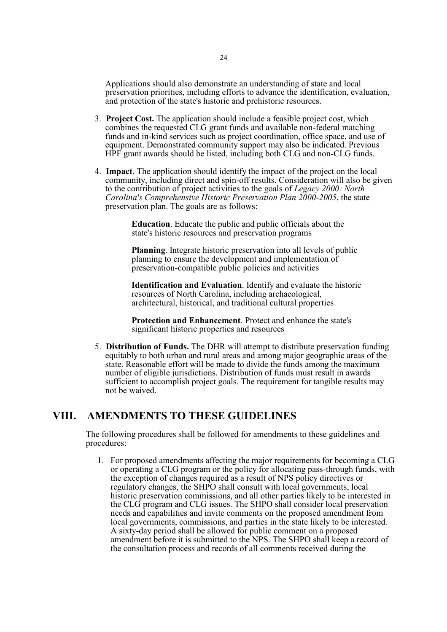Applications should also demonstrate an understanding of state and local preservation priorities, including efforts to advance the identification, evaluation, and protection of the state's historic and prehistoric resources.

- 3. **Project Cost.** The application should include a feasible project cost, which combines the requested CLG grant funds and available non-federal matching funds and in-kind services such as project coordination, office space, and use of equipment. Demonstrated community support may also be indicated. Previous HPF grant awards should be listed, including both CLG and non-CLG funds.
- 4. **Impact.** The application should identify the impact of the project on the local community, including direct and spin-off results. Consideration will also be given to the contribution of project activities to the goals of *Legacy 2000: North Carolina's Comprehensive Historic Preservation Plan 2000-2005*, the state preservation plan. The goals are as follows:

**Education**. Educate the public and public officials about the state's historic resources and preservation programs

**Planning**. Integrate historic preservation into all levels of public planning to ensure the development and implementation of preservation-compatible public policies and activities

**Identification and Evaluation**. Identify and evaluate the historic resources of North Carolina, including archaeological, architectural, historical, and traditional cultural properties

**Protection and Enhancement**. Protect and enhance the state's significant historic properties and resources

5. **Distribution of Funds.** The DHR will attempt to distribute preservation funding equitably to both urban and rural areas and among major geographic areas of the state. Reasonable effort will be made to divide the funds among the maximum number of eligible jurisdictions. Distribution of funds must result in awards sufficient to accomplish project goals. The requirement for tangible results may not be waived.

## **VIII. AMENDMENTS TO THESE GUIDELINES**

The following procedures shall be followed for amendments to these guidelines and procedures:

1. For proposed amendments affecting the major requirements for becoming a CLG or operating a CLG program or the policy for allocating pass-through funds, with the exception of changes required as a result of NPS policy directives or regulatory changes, the SHPO shall consult with local governments, local historic preservation commissions, and all other parties likely to be interested in the CLG program and CLG issues. The SHPO shall consider local preservation needs and capabilities and invite comments on the proposed amendment from local governments, commissions, and parties in the state likely to be interested. A sixty-day period shall be allowed for public comment on a proposed amendment before it is submitted to the NPS. The SHPO shall keep a record of the consultation process and records of all comments received during the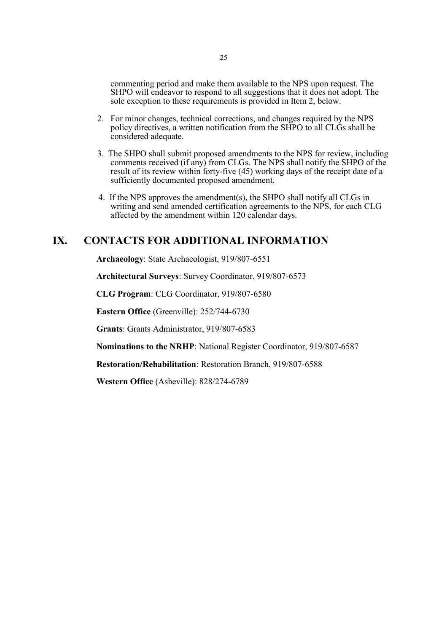commenting period and make them available to the NPS upon request. The SHPO will endeavor to respond to all suggestions that it does not adopt. The sole exception to these requirements is provided in Item 2, below.

- 2. For minor changes, technical corrections, and changes required by the NPS policy directives, a written notification from the SHPO to all CLGs shall be considered adequate.
- 3. The SHPO shall submit proposed amendments to the NPS for review, including comments received (if any) from CLGs. The NPS shall notify the SHPO of the result of its review within forty-five (45) working days of the receipt date of a sufficiently documented proposed amendment.
- 4. If the NPS approves the amendment(s), the SHPO shall notify all CLGs in writing and send amended certification agreements to the NPS, for each CLG affected by the amendment within 120 calendar days.

## **IX. CONTACTS FOR ADDITIONAL INFORMATION**

**Archaeology**: State Archaeologist, 919/807-6551

**Architectural Surveys**: Survey Coordinator, 919/807-6573

**CLG Program**: CLG Coordinator, 919/807-6580

**Eastern Office** (Greenville): 252/744-6730

**Grants**: Grants Administrator, 919/807-6583

**Nominations to the NRHP**: National Register Coordinator, 919/807-6587

**Restoration/Rehabilitation**: Restoration Branch, 919/807-6588

**Western Office** (Asheville): 828/274-6789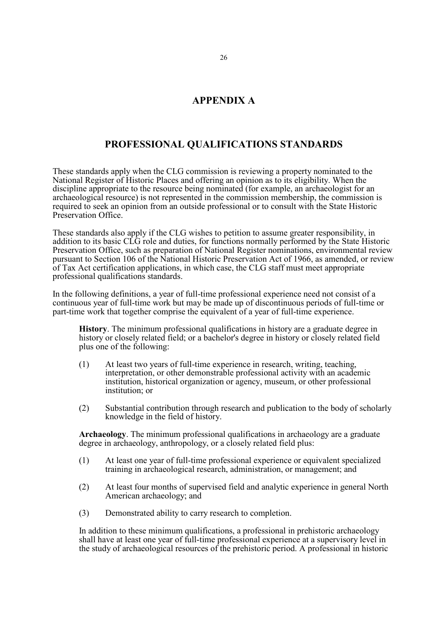## **APPENDIX A**

## **PROFESSIONAL QUALIFICATIONS STANDARDS**

These standards apply when the CLG commission is reviewing a property nominated to the National Register of Historic Places and offering an opinion as to its eligibility. When the discipline appropriate to the resource being nominated (for example, an archaeologist for an archaeological resource) is not represented in the commission membership, the commission is required to seek an opinion from an outside professional or to consult with the State Historic Preservation Office.

These standards also apply if the CLG wishes to petition to assume greater responsibility, in addition to its basic CLG role and duties, for functions normally performed by the State Historic Preservation Office, such as preparation of National Register nominations, environmental review pursuant to Section 106 of the National Historic Preservation Act of 1966, as amended, or review of Tax Act certification applications, in which case, the CLG staff must meet appropriate professional qualifications standards.

In the following definitions, a year of full-time professional experience need not consist of a continuous year of full-time work but may be made up of discontinuous periods of full-time or part-time work that together comprise the equivalent of a year of full-time experience.

**History**. The minimum professional qualifications in history are a graduate degree in history or closely related field; or a bachelor's degree in history or closely related field plus one of the following:

- (1) At least two years of full-time experience in research, writing, teaching, interpretation, or other demonstrable professional activity with an academic institution, historical organization or agency, museum, or other professional institution; or
- (2) Substantial contribution through research and publication to the body of scholarly knowledge in the field of history.

**Archaeology**. The minimum professional qualifications in archaeology are a graduate degree in archaeology, anthropology, or a closely related field plus:

- (1) At least one year of full-time professional experience or equivalent specialized training in archaeological research, administration, or management; and
- (2) At least four months of supervised field and analytic experience in general North American archaeology; and
- (3) Demonstrated ability to carry research to completion.

In addition to these minimum qualifications, a professional in prehistoric archaeology shall have at least one year of full-time professional experience at a supervisory level in the study of archaeological resources of the prehistoric period. A professional in historic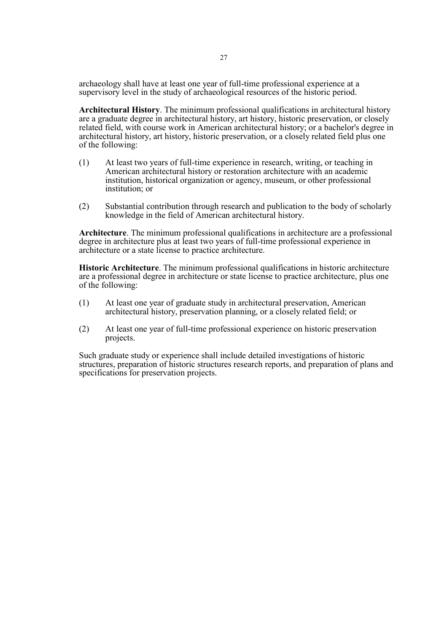archaeology shall have at least one year of full-time professional experience at a supervisory level in the study of archaeological resources of the historic period.

**Architectural History**. The minimum professional qualifications in architectural history are a graduate degree in architectural history, art history, historic preservation, or closely related field, with course work in American architectural history; or a bachelor's degree in architectural history, art history, historic preservation, or a closely related field plus one of the following:

- (1) At least two years of full-time experience in research, writing, or teaching in American architectural history or restoration architecture with an academic institution, historical organization or agency, museum, or other professional institution; or
- (2) Substantial contribution through research and publication to the body of scholarly knowledge in the field of American architectural history.

**Architecture**. The minimum professional qualifications in architecture are a professional degree in architecture plus at least two years of full-time professional experience in architecture or a state license to practice architecture.

**Historic Architecture**. The minimum professional qualifications in historic architecture are a professional degree in architecture or state license to practice architecture, plus one of the following:

- (1) At least one year of graduate study in architectural preservation, American architectural history, preservation planning, or a closely related field; or
- (2) At least one year of full-time professional experience on historic preservation projects.

Such graduate study or experience shall include detailed investigations of historic structures, preparation of historic structures research reports, and preparation of plans and specifications for preservation projects.